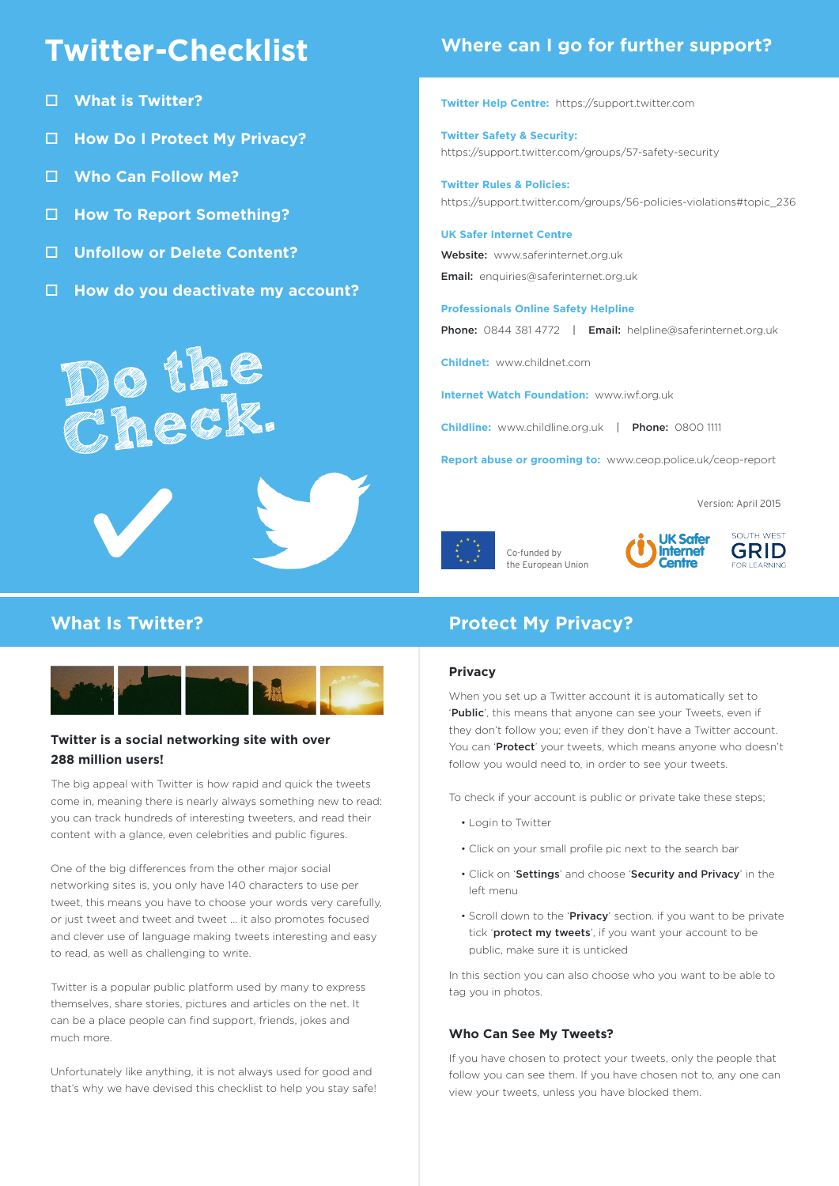# **Twitter-Checklist**

- o **What is Twitter?**
- □ **How Do I Protect My Privacy?**
- □ Who Can Follow Me?
- □ How To Report Something?
- □ Unfollow or Delete Content?

**Do the Check.**

□ How do you deactivate my account?

## **Where can I go for further support?**

**Twitter Help Centre:** https://support.twitter.com

**Twitter Safety & Security:** https://support.twitter.com/groups/57-safety-security

**Twitter Rules & Policies:** https://support.twitter.com/groups/56-policies-violations#topic\_236

#### **UK Safer Internet Centre**

Website: www.saferinternet.org.uk Email: enquiries@saferinternet.org.uk

#### **Professionals Online Safety Helpline**

Phone: 0844 381 4772 | Email: helpline@saferinternet.org.uk

**Childnet:** www.childnet.com

**Internet Watch Foundation:** www.iwf.org.uk

**Childline:** www.childline.org.uk | Phone: 0800 1111

**Report abuse or grooming to:** www.ceop.police.uk/ceop-report

Version: April 2015



Co-funded by the European Union





W



## **Twitter is a social networking site with over 288 million users!**

The big appeal with Twitter is how rapid and quick the tweets come in, meaning there is nearly always something new to read: you can track hundreds of interesting tweeters, and read their content with a glance, even celebrities and public figures.

One of the big differences from the other major social networking sites is, you only have 140 characters to use per tweet, this means you have to choose your words very carefully, or just tweet and tweet and tweet ... it also promotes focused and clever use of language making tweets interesting and easy to read, as well as challenging to write.

Twitter is a popular public platform used by many to express themselves, share stories, pictures and articles on the net. It can be a place people can find support, friends, jokes and much more.

Unfortunately like anything, it is not always used for good and that's why we have devised this checklist to help you stay safe!

## **What Is Twitter?** Protect My Privacy?

### **Privacy**

When you set up a Twitter account it is automatically set to 'Public', this means that anyone can see your Tweets, even if they don't follow you; even if they don't have a Twitter account. You can 'Protect' your tweets, which means anyone who doesn't follow you would need to, in order to see your tweets.

To check if your account is public or private take these steps;

- Login to Twitter
- Click on your small profile pic next to the search bar
- Click on 'Settings' and choose 'Security and Privacy' in the left menu
- Scroll down to the 'Privacy' section. if you want to be private tick 'protect my tweets', if you want your account to be public, make sure it is unticked

In this section you can also choose who you want to be able to tag you in photos.

## **Who Can See My Tweets?**

If you have chosen to protect your tweets, only the people that follow you can see them. If you have chosen not to, any one can view your tweets, unless you have blocked them.